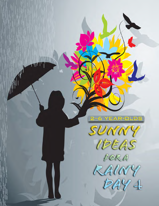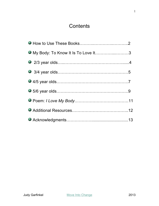# **Contents**

| O My Body: To Know It Is To Love It3 |  |
|--------------------------------------|--|
|                                      |  |
|                                      |  |
|                                      |  |
|                                      |  |
|                                      |  |
|                                      |  |
|                                      |  |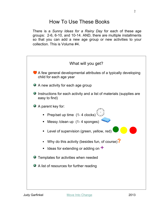# How To Use These Books

There is a *Sunny Ideas for a Rainy Day* for each of these age groups: 2-6, 6-10, and 10-14. AND, there are multiple installments so that you can add a new age group or new activities to your collection. This is Volume #4.

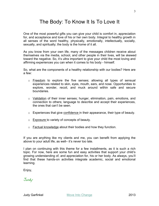# The Body: To Know It Is To Love It

One of the most powerful gifts you can give your child is comfort in, appreciation for, and acceptance and love of his or her own body. Integral to healthy growth in all senses of the word healthy, physically, emotionally, intellectually, socially, sexually, and spiritually; the body is the home of it all.

As you know from your own life, many of the messages children receive about themselves via the media, school, and other people in their lives, will be skewed toward the negative. So, it's ultra important to give your child the most loving and affirming experiences you can when it comes to his body - himself.

So, what are the components of a healthy relationship with our bodies? Here are a few:

- $\circ$  Freedom to explore the five senses; allowing all types of sensual experiences related to skin, eyes, mouth, ears, and nose. Opportunities to explore, wonder, recoil, and muck around within safe and secure boundaries.
- o Validation of their inner senses; hunger, elimination, pain, emotions, and connection to others; language to describe and accept their experiences, the ones that can't be seen.
- o Experiences that give confidence in their appearance, their type of beauty.
- o Exposure to variety of concepts of beauty.
- o Factual knowledge about their bodies and how they function.

If you are anything like my clients and me, you can benefit from applying the above to your adult life, as well– it's never too late.

I plan on continuing with this theme for a few installments, as it is such a rich topic. For now, here are some fun and easy activities that support your child's growing understanding of, and appreciation for, his or her body. As always, you'll find that these hands-on activities integrate academic, social and emotional learning.

Enjoy,

Judy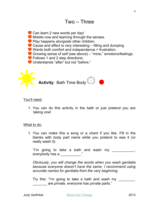

Can learn 2 new words per day! Mobile now and learning through the senses. Play happens *alongside* other children. Cause and effect is very interesting – filling and dumping. Wants both comfort and independence = frustration. Growing sense of self (see above) – "mine," emotions/feelings. ● Follows 1 and 2 step directions. Understands "after" but not "before."



#### You'll need:

1. You can do this activity in the bath or just pretend you are taking one!

#### What to do:

1. You can make this a song or a chant if you like. Fill in the blanks with body part name while you pretend to was it (or really wash it):

"I'm going to take a bath and wash my \_\_\_\_\_\_\_\_\_\_\_, everybody has a \_\_\_\_\_\_\_\_\_\_\_."

*Obviously, you will change the words when you wash genitalia because everyone doesn't have the same. I recommend using accurate names for genitalia from the very beginning.* 

Try this: "I'm going to take a bath and wash my \_\_\_\_\_\_\_\_. are private, everyone has private parts."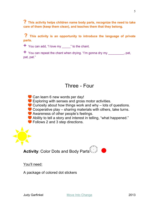**? This activity helps children name body parts, recognize the need to take care of them (keep them clean), and teaches them that they belong.** 

**? This activity is an opportunity to introduce the language of private parts.**

 $+$  You can add, "I love my  $\blacksquare$  " to the chant.

 $+$  You can repeat the chant when drying. "I'm gonna dry my exactle pat, pat, pat."

## Three - Four

Can learn 6 new words per day! Exploring with senses and gross motor activities. Curiosity about how things work and why – lots of questions. Cooperative play – sharing materials with others, take turns. Awareness of other people's feelings. Ability to tell a story and interest in telling, "what happened." ● Follows 2 and 3 step directions.



You'll need:

A package of colored dot stickers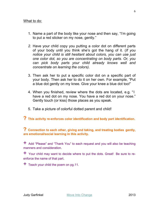#### What to do:

- 1. Name a part of the body like your nose and then say, "I'm going to put a red sticker on my nose, gently."
- *2.* Have your child copy you putting a color dot on different parts of your body until you think she's got the hang of it. (*If you notice your child is still hesitant about colors, you can use just one color dot, so you are concentrating on body parts. Or, you can pick body parts your child already knows well and concentrate on learning the colors).*
- 3. Then ask her to put a specific color dot on a specific part of your body. Then ask her to do it on her own. For example, "Put a blue dot gently on my knee. Give your knee a blue dot too!"
- 4. When you finished, review where the dots are located, e.g. "I have a red dot on my nose. You have a red dot on your nose." Gently touch (or kiss) those places as you speak.
- 5. Take a picture of colorful dotted parent and child!
- **? This activity re-enforces color identification and body part identification.**

**? Connection to each other, giving and taking, and treating bodies gently, are emotional/social learning in this activity.** 

 $+$  Add "Please" and "Thank You" to each request and you will also be teaching manners and consideration.

 $+$  Your child may want to decide where to put the dots. Great! Be sure to reenforce the name of that part.

 $+$  Teach your child the poem on pg.11.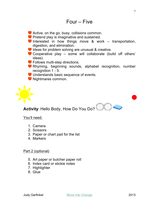- Active, on the go, busy, collisions common.
- **Pretend play is imaginative and sustained.**
- $\bullet$  Interested in how things move & work transportation, digestion, and elimination.
- Ideas for problem solving are unusual & creative.
- Cooperative play some will collaborate (build off others' ideas).
- **C** Follows multi-step directions.
- Rhyming, beginning sounds, alphabet recognition, number recognition 1 - 5.
- **Understands basic sequence of events.**
- $\bullet$  Nightmares common.



**Activity**: Hello Body, How Do You Do?

## You'll need:

- 1. Camera
- 2. Scissors
- 3. Paper or chart pad for the list
- 4. Markers

### Part 2 (optional)

- 5. Art paper or butcher paper roll
- 6. Index card or stickie notes
- 7. Highlighter
- 8. Glue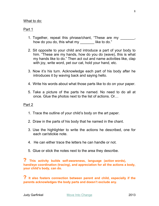#### What to do:

#### Part 1

- 1. Together, repeat this phrase/chant, "These are my \_\_\_\_\_\_\_, how do you do, this what my like to do."
- 2. Sit opposite to your child and introduce a part of your body to him. "These are my hands, how do you do (wave), this is what my hands like to do." Then act out and name activities like, clap with joy, write word, pet our cat, hold your hand, etc.
- 3. Now it's his turn. Acknowledge each part of his body after he introduces it by waving back and saying hello.
- 4. Write his words about what those parts like to do on your paper.
- 5. Take a picture of the parts he named. No need to do all at once. Glue the photos next to the list of actions. Or…

#### Part 2

- 1. Trace the outline of your child's body on the art paper.
- 2. Draw in the parts of his body that he named in the chant.
- 3. Use the highlighter to write the actions he described, one for each car/stickie note.
- 4. He can either trace the letters he can handle or not.
- 5. Glue or stick the notes next to the area they describe.

**? This activity builds self-awareness, languag<sup>e</sup> (action words), hand/eye coordination (tracing), and appreciation for all the actions a body, your child's body, can do.** 

**? It also fosters connection between parent and child, especially if the parents acknowledges the body parts and doesn't exclude any.**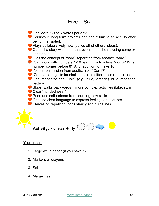



## You'll need:

- 1. Large white paper (if you have it)
- 2. Markers or crayons
- 3. Scissors
- 4. Magazines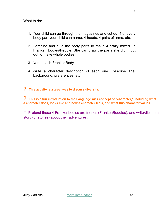#### What to do:

- 1. Your child can go through the magazines and cut out 4 of every body part your child can name: 4 heads, 4 pairs of arms, etc.
- 2. Combine and glue the body parts to make 4 crazy mixed up Franken Bodies/People. She can draw the parts she didn't cut out to make whole bodies.
- 3. Name each FrankenBody.
- 4. Write a character description of each one. Describe age, background, preferences, etc.

**? This activity is a great way to discuss diversity.** 

**? This is a fun introduction to the Language Arts concept of "character," including what a character does, looks like and how a character feels, and what this character values.** 

+ Pretend these 4 Frankenbodies are friends (FrankenBuddies), and write/dictate <sup>a</sup> story (or stories) about their adventures.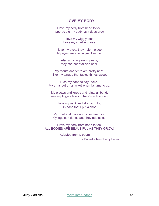#### **I LOVE MY BODY**

I love my body from head to toe. I appreciate my body as it does grow.

> I love my wiggly toes. I love my smelling nose.

I love my eyes, they help me see. My eyes are special just like me.

Also amazing are my ears, they can hear far and near.

My mouth and teeth are pretty neat. I like my tongue that tastes things sweet.

I use my hand to say "hello." My arms put on a jacket when it's time to go.

My elbows and knees and joints all bend. I love my fingers holding hands with a friend.

> I love my neck and stomach, too! On each foot I put a shoe!

My front and back and sides are nice! My legs can dance and they add spice.

I love my body from head to toe. ALL BODIES ARE BEAUTIFUL AS THEY GROW!

> Adapted from a poem By Danielle Raspberry Levin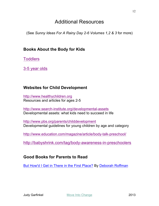# Additional Resources

(See *Sunny Ideas For A Rainy Day 2-6 Volumes 1,2 & 3* for more)

## **Books About the Body for Kids**

**Toddlers** 

3-5 year olds

## **Websites for Child Development**

http://www.healthychildren.org Resources and articles for ages 2-5

http://www.search-institute.org/developmental-assets Developmental assets: what kids need to succeed in life

http://www.pbs.org/parents/childdevelopment Developmental guidelines for young children by age and category

http://www.education.com/magazine/article/body-talk-preschool/

http://babyshrink.com/tag/body-awareness-in-preschoolers

## **Good Books for Parents to Read**

But How'd I Get in There in the First Place? By Deborah Roffman